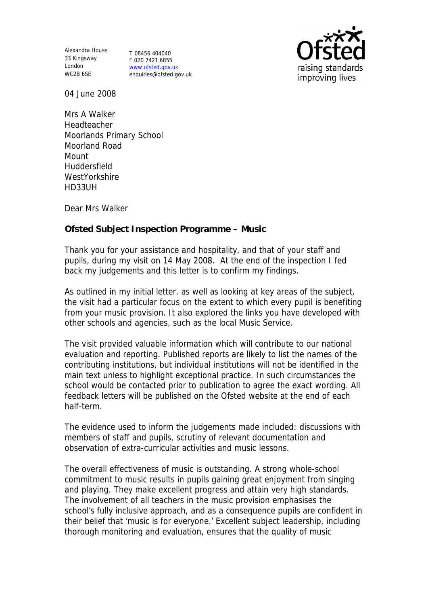Alexandra House 33 Kingsway T 08456 404040 London WC2B 6SE

F 020 7421 6855 www.ofsted.gov.uk enquiries@ofsted.gov.uk



04 June 2008

Mrs A Walker Headteacher Moorlands Primary School Moorland Road Mount Huddersfield WestYorkshire HD33UH

Dear Mrs Walker

**Ofsted Subject Inspection Programme – Music** 

Thank you for your assistance and hospitality, and that of your staff and pupils, during my visit on 14 May 2008. At the end of the inspection I fed back my judgements and this letter is to confirm my findings.

As outlined in my initial letter, as well as looking at key areas of the subject, the visit had a particular focus on the extent to which every pupil is benefiting from your music provision. It also explored the links you have developed with other schools and agencies, such as the local Music Service.

The visit provided valuable information which will contribute to our national evaluation and reporting. Published reports are likely to list the names of the contributing institutions, but individual institutions will not be identified in the main text unless to highlight exceptional practice. In such circumstances the school would be contacted prior to publication to agree the exact wording. All feedback letters will be published on the Ofsted website at the end of each half-term.

The evidence used to inform the judgements made included: discussions with members of staff and pupils, scrutiny of relevant documentation and observation of extra-curricular activities and music lessons.

The overall effectiveness of music is outstanding. A strong whole-school commitment to music results in pupils gaining great enjoyment from singing and playing. They make excellent progress and attain very high standards. The involvement of all teachers in the music provision emphasises the school's fully inclusive approach, and as a consequence pupils are confident in their belief that 'music is for everyone.' Excellent subject leadership, including thorough monitoring and evaluation, ensures that the quality of music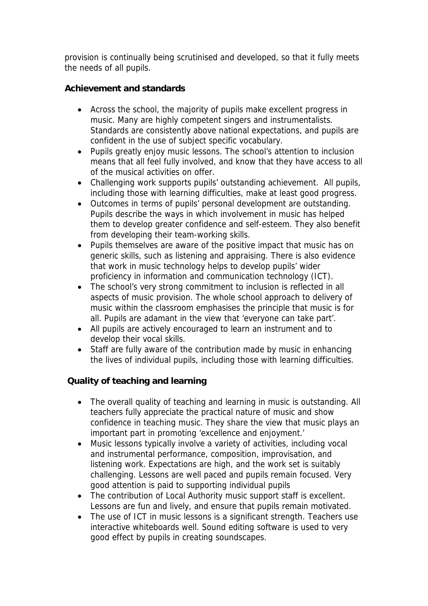provision is continually being scrutinised and developed, so that it fully meets the needs of all pupils.

**Achievement and standards**

- Across the school, the majority of pupils make excellent progress in music. Many are highly competent singers and instrumentalists. Standards are consistently above national expectations, and pupils are confident in the use of subject specific vocabulary.
- Pupils greatly enjoy music lessons. The school's attention to inclusion means that all feel fully involved, and know that they have access to all of the musical activities on offer.
- Challenging work supports pupils' outstanding achievement. All pupils, including those with learning difficulties, make at least good progress.
- Outcomes in terms of pupils' personal development are outstanding. Pupils describe the ways in which involvement in music has helped them to develop greater confidence and self-esteem. They also benefit from developing their team-working skills.
- Pupils themselves are aware of the positive impact that music has on generic skills, such as listening and appraising. There is also evidence that work in music technology helps to develop pupils' wider proficiency in information and communication technology (ICT).
- The school's very strong commitment to inclusion is reflected in all aspects of music provision. The whole school approach to delivery of music within the classroom emphasises the principle that music is for all. Pupils are adamant in the view that 'everyone can take part'.
- All pupils are actively encouraged to learn an instrument and to develop their vocal skills.
- Staff are fully aware of the contribution made by music in enhancing the lives of individual pupils, including those with learning difficulties.

**Quality of teaching and learning**

- The overall quality of teaching and learning in music is outstanding. All teachers fully appreciate the practical nature of music and show confidence in teaching music. They share the view that music plays an important part in promoting 'excellence and enjoyment.'
- Music lessons typically involve a variety of activities, including vocal and instrumental performance, composition, improvisation, and listening work. Expectations are high, and the work set is suitably challenging. Lessons are well paced and pupils remain focused. Very good attention is paid to supporting individual pupils
- The contribution of Local Authority music support staff is excellent. Lessons are fun and lively, and ensure that pupils remain motivated.
- The use of ICT in music lessons is a significant strength. Teachers use interactive whiteboards well. Sound editing software is used to very good effect by pupils in creating soundscapes.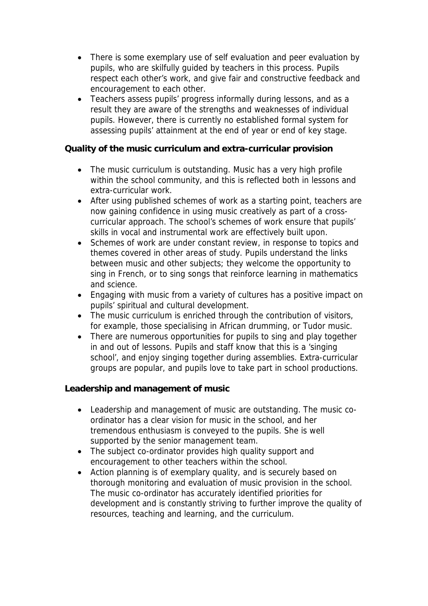- There is some exemplary use of self evaluation and peer evaluation by pupils, who are skilfully guided by teachers in this process. Pupils respect each other's work, and give fair and constructive feedback and encouragement to each other.
- Teachers assess pupils' progress informally during lessons, and as a result they are aware of the strengths and weaknesses of individual pupils. However, there is currently no established formal system for assessing pupils' attainment at the end of year or end of key stage.

**Quality of the music curriculum and extra-curricular provision**

- The music curriculum is outstanding. Music has a very high profile within the school community, and this is reflected both in lessons and extra-curricular work.
- After using published schemes of work as a starting point, teachers are now gaining confidence in using music creatively as part of a crosscurricular approach. The school's schemes of work ensure that pupils' skills in vocal and instrumental work are effectively built upon.
- Schemes of work are under constant review, in response to topics and themes covered in other areas of study. Pupils understand the links between music and other subjects; they welcome the opportunity to sing in French, or to sing songs that reinforce learning in mathematics and science.
- Engaging with music from a variety of cultures has a positive impact on pupils' spiritual and cultural development.
- The music curriculum is enriched through the contribution of visitors, for example, those specialising in African drumming, or Tudor music.
- There are numerous opportunities for pupils to sing and play together in and out of lessons. Pupils and staff know that this is a 'singing school', and enjoy singing together during assemblies. Extra-curricular groups are popular, and pupils love to take part in school productions.

**Leadership and management of music**

- Leadership and management of music are outstanding. The music coordinator has a clear vision for music in the school, and her tremendous enthusiasm is conveyed to the pupils. She is well supported by the senior management team.
- The subject co-ordinator provides high quality support and encouragement to other teachers within the school.
- Action planning is of exemplary quality, and is securely based on thorough monitoring and evaluation of music provision in the school. The music co-ordinator has accurately identified priorities for development and is constantly striving to further improve the quality of resources, teaching and learning, and the curriculum.